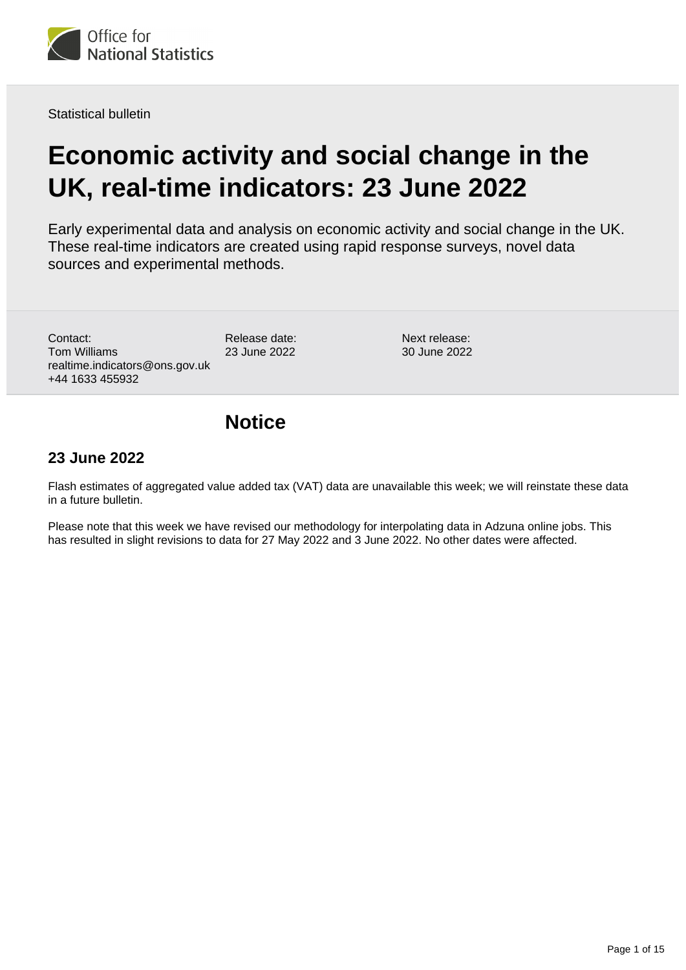

Statistical bulletin

# **Economic activity and social change in the UK, real-time indicators: 23 June 2022**

Early experimental data and analysis on economic activity and social change in the UK. These real-time indicators are created using rapid response surveys, novel data sources and experimental methods.

Contact: Tom Williams realtime.indicators@ons.gov.uk +44 1633 455932

Release date: 23 June 2022

Next release: 30 June 2022

## **Notice**

### **23 June 2022**

Flash estimates of aggregated value added tax (VAT) data are unavailable this week; we will reinstate these data in a future bulletin.

Please note that this week we have revised our methodology for interpolating data in Adzuna online jobs. This has resulted in slight revisions to data for 27 May 2022 and 3 June 2022. No other dates were affected.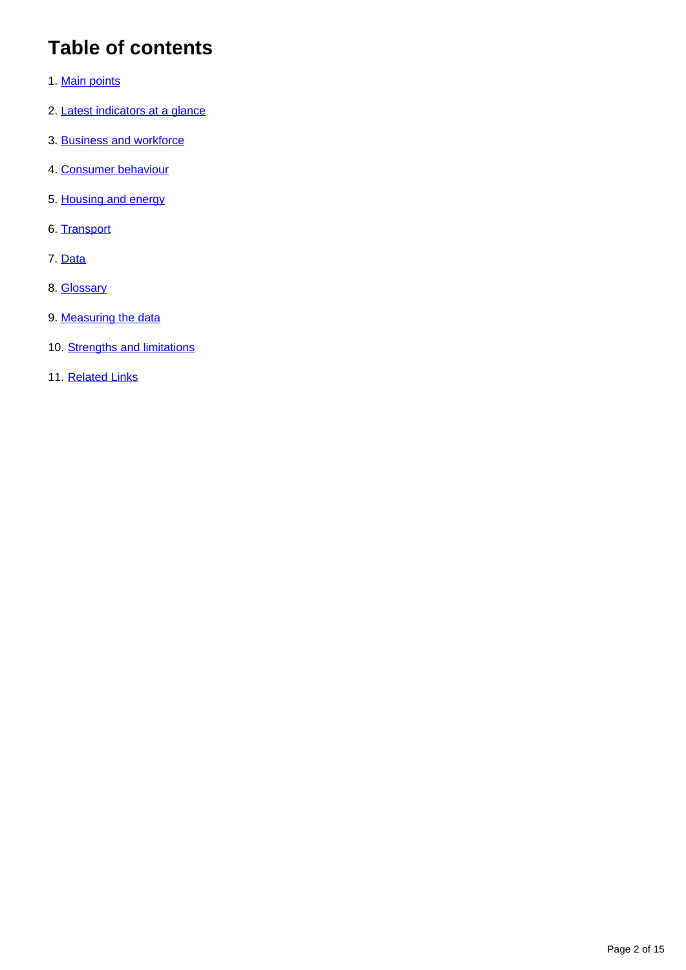## **Table of contents**

- 1. [Main points](#page-2-0)
- 2. [Latest indicators at a glance](#page-2-1)
- 3. [Business and workforce](#page-2-2)
- 4. [Consumer behaviour](#page-5-0)
- 5. [Housing and energy](#page-9-0)
- 6. [Transport](#page-11-0)
- 7. [Data](#page-13-0)
- 8. [Glossary](#page-13-1)
- 9. [Measuring the data](#page-13-2)
- 10. [Strengths and limitations](#page-13-3)
- 11. [Related Links](#page-14-0)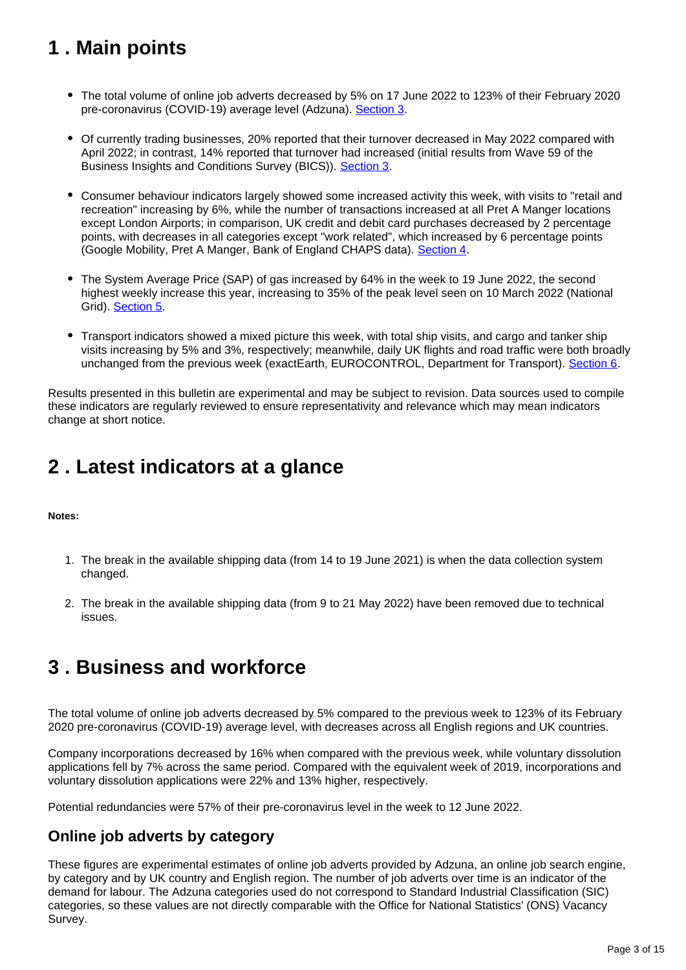## <span id="page-2-0"></span>**1 . Main points**

- The total volume of online job adverts decreased by 5% on 17 June 2022 to 123% of their February 2020 pre-coronavirus (COVID-19) average level (Adzuna). [Section 3.](/economy/economicoutputandproductivity/output/bulletins/economicactivityandsocialchangeintheukrealtimeindicators/23june2022#business-and-workforce)
- Of currently trading businesses, 20% reported that their turnover decreased in May 2022 compared with April 2022; in contrast, 14% reported that turnover had increased (initial results from Wave 59 of the Business Insights and Conditions Survey (BICS)). [Section 3.](/economy/economicoutputandproductivity/output/bulletins/economicactivityandsocialchangeintheukrealtimeindicators/23june2022#business-and-workforce)
- Consumer behaviour indicators largely showed some increased activity this week, with visits to "retail and recreation" increasing by 6%, while the number of transactions increased at all Pret A Manger locations except London Airports; in comparison, UK credit and debit card purchases decreased by 2 percentage points, with decreases in all categories except "work related", which increased by 6 percentage points (Google Mobility, Pret A Manger, Bank of England CHAPS data). [Section 4.](/economy/economicoutputandproductivity/output/bulletins/economicactivityandsocialchangeintheukrealtimeindicators/23june2022#consumer-behaviour)
- The System Average Price (SAP) of gas increased by 64% in the week to 19 June 2022, the second highest weekly increase this year, increasing to 35% of the peak level seen on 10 March 2022 (National Grid). [Section 5.](/economy/economicoutputandproductivity/output/bulletins/economicactivityandsocialchangeintheukrealtimeindicators/23june2022#housing-and-energy)
- Transport indicators showed a mixed picture this week, with total ship visits, and cargo and tanker ship visits increasing by 5% and 3%, respectively; meanwhile, daily UK flights and road traffic were both broadly unchanged from the previous week (exactEarth, EUROCONTROL, Department for Transport). [Section 6.](/economy/economicoutputandproductivity/output/bulletins/economicactivityandsocialchangeintheukrealtimeindicators/23june2022#transport)

Results presented in this bulletin are experimental and may be subject to revision. Data sources used to compile these indicators are regularly reviewed to ensure representativity and relevance which may mean indicators change at short notice.

## <span id="page-2-1"></span>**2 . Latest indicators at a glance**

#### **Notes:**

- 1. The break in the available shipping data (from 14 to 19 June 2021) is when the data collection system changed.
- 2. The break in the available shipping data (from 9 to 21 May 2022) have been removed due to technical issues.

## <span id="page-2-2"></span>**3 . Business and workforce**

The total volume of online job adverts decreased by 5% compared to the previous week to 123% of its February 2020 pre-coronavirus (COVID-19) average level, with decreases across all English regions and UK countries.

Company incorporations decreased by 16% when compared with the previous week, while voluntary dissolution applications fell by 7% across the same period. Compared with the equivalent week of 2019, incorporations and voluntary dissolution applications were 22% and 13% higher, respectively.

Potential redundancies were 57% of their pre-coronavirus level in the week to 12 June 2022.

### **Online job adverts by category**

These figures are experimental estimates of online job adverts provided by Adzuna, an online job search engine, by category and by UK country and English region. The number of job adverts over time is an indicator of the demand for labour. The Adzuna categories used do not correspond to Standard Industrial Classification (SIC) categories, so these values are not directly comparable with the Office for National Statistics' (ONS) Vacancy Survey.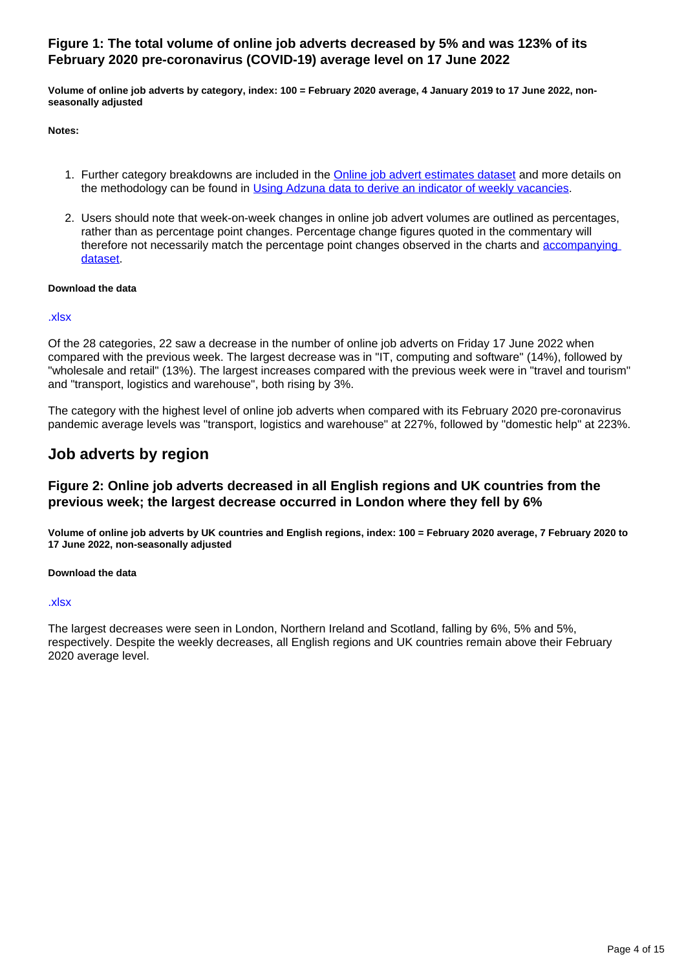#### **Figure 1: The total volume of online job adverts decreased by 5% and was 123% of its February 2020 pre-coronavirus (COVID-19) average level on 17 June 2022**

**Volume of online job adverts by category, index: 100 = February 2020 average, 4 January 2019 to 17 June 2022, nonseasonally adjusted**

**Notes:**

- 1. Further category breakdowns are included in the *Online job advert estimates dataset* and more details on the methodology can be found in [Using Adzuna data to derive an indicator of weekly vacancies.](https://www.ons.gov.uk/peoplepopulationandcommunity/healthandsocialcare/conditionsanddiseases/methodologies/usingadzunadatatoderiveanindicatorofweeklyvacanciesexperimentalstatistics)
- 2. Users should note that week-on-week changes in online job advert volumes are outlined as percentages, rather than as percentage point changes. Percentage change figures quoted in the commentary will therefore not necessarily match the percentage point changes observed in the charts and accompanying [dataset.](https://www.ons.gov.uk/economy/economicoutputandproductivity/output/datasets/onlinejobadvertestimates)

#### **Download the data**

#### [.xlsx](https://www.ons.gov.uk/visualisations/dvc2036/vacs_category3w/datadownload.xlsx)

Of the 28 categories, 22 saw a decrease in the number of online job adverts on Friday 17 June 2022 when compared with the previous week. The largest decrease was in "IT, computing and software" (14%), followed by "wholesale and retail" (13%). The largest increases compared with the previous week were in "travel and tourism" and "transport, logistics and warehouse", both rising by 3%.

The category with the highest level of online job adverts when compared with its February 2020 pre-coronavirus pandemic average levels was "transport, logistics and warehouse" at 227%, followed by "domestic help" at 223%.

### **Job adverts by region**

#### **Figure 2: Online job adverts decreased in all English regions and UK countries from the previous week; the largest decrease occurred in London where they fell by 6%**

**Volume of online job adverts by UK countries and English regions, index: 100 = February 2020 average, 7 February 2020 to 17 June 2022, non-seasonally adjusted**

#### **Download the data**

#### [.xlsx](https://www.ons.gov.uk/visualisations/dvc2036/vacsregional/datadownload.xlsx)

The largest decreases were seen in London, Northern Ireland and Scotland, falling by 6%, 5% and 5%, respectively. Despite the weekly decreases, all English regions and UK countries remain above their February 2020 average level.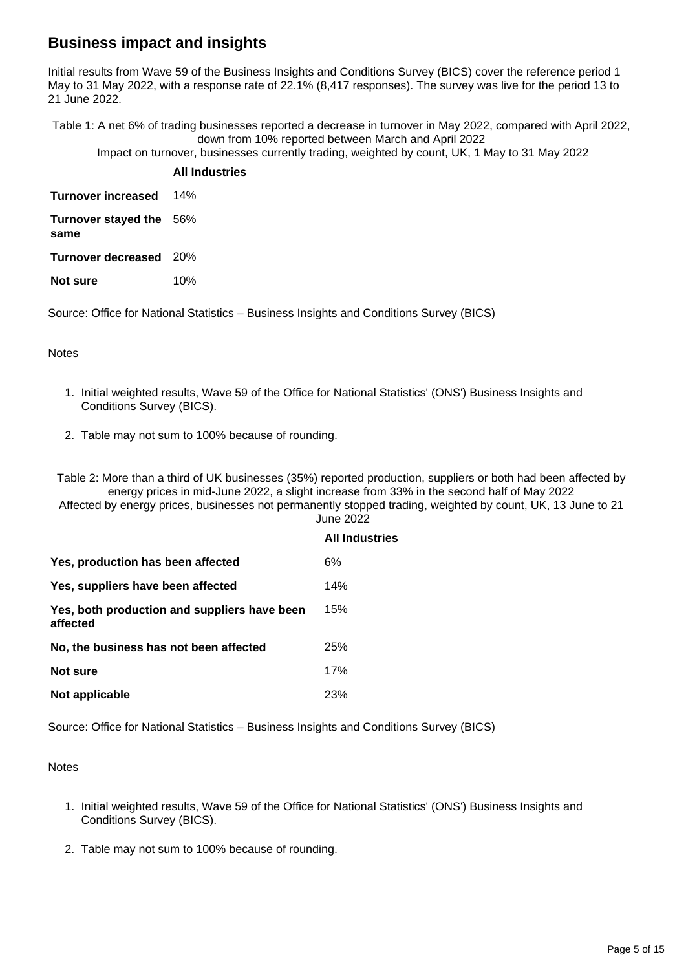### **Business impact and insights**

Initial results from Wave 59 of the Business Insights and Conditions Survey (BICS) cover the reference period 1 May to 31 May 2022, with a response rate of 22.1% (8,417 responses). The survey was live for the period 13 to 21 June 2022.

Table 1: A net 6% of trading businesses reported a decrease in turnover in May 2022, compared with April 2022, down from 10% reported between March and April 2022

Impact on turnover, businesses currently trading, weighted by count, UK, 1 May to 31 May 2022

|                                        | <b>All Industries</b> |
|----------------------------------------|-----------------------|
| Turnover increased                     | 14%                   |
| <b>Turnover stayed the</b> 56%<br>same |                       |
| <b>Turnover decreased</b> 20%          |                       |
| <b>Not sure</b>                        | 10%                   |

Source: Office for National Statistics – Business Insights and Conditions Survey (BICS)

#### Notes

- 1. Initial weighted results, Wave 59 of the Office for National Statistics' (ONS') Business Insights and Conditions Survey (BICS).
- 2. Table may not sum to 100% because of rounding.

Table 2: More than a third of UK businesses (35%) reported production, suppliers or both had been affected by energy prices in mid-June 2022, a slight increase from 33% in the second half of May 2022 Affected by energy prices, businesses not permanently stopped trading, weighted by count, UK, 13 June to 21

June 2022

|                                                          | <b>All Industries</b> |
|----------------------------------------------------------|-----------------------|
| Yes, production has been affected                        | 6%                    |
| Yes, suppliers have been affected                        | 14%                   |
| Yes, both production and suppliers have been<br>affected | 15%                   |
| No, the business has not been affected                   | 25%                   |
| Not sure                                                 | 17%                   |
| Not applicable                                           | 23%                   |

Source: Office for National Statistics – Business Insights and Conditions Survey (BICS)

#### **Notes**

- 1. Initial weighted results, Wave 59 of the Office for National Statistics' (ONS') Business Insights and Conditions Survey (BICS).
- 2. Table may not sum to 100% because of rounding.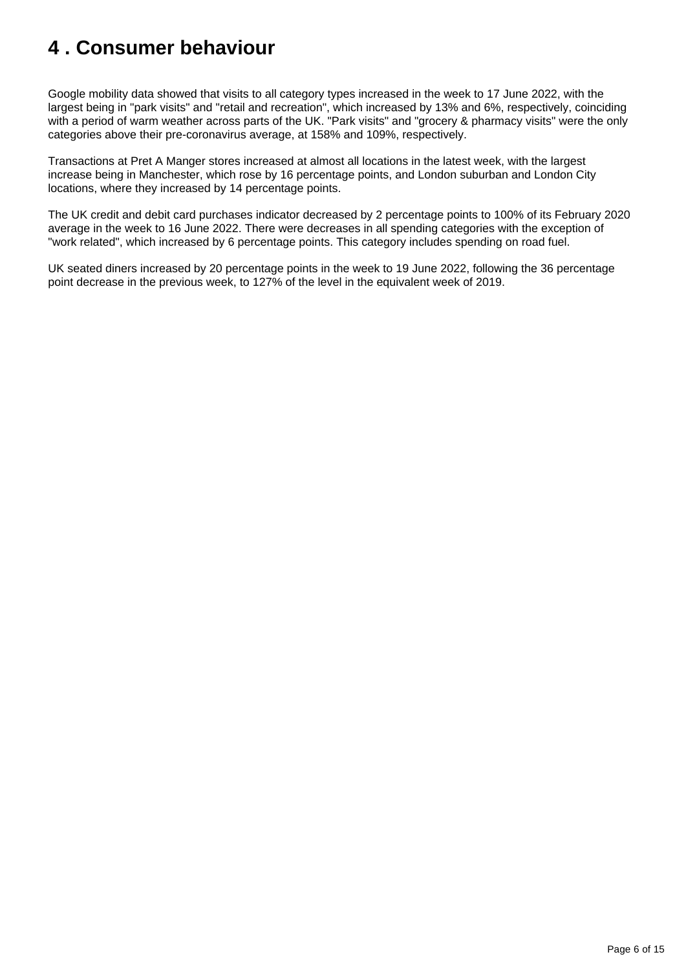## <span id="page-5-0"></span>**4 . Consumer behaviour**

Google mobility data showed that visits to all category types increased in the week to 17 June 2022, with the largest being in "park visits" and "retail and recreation", which increased by 13% and 6%, respectively, coinciding with a period of warm weather across parts of the UK. "Park visits" and "grocery & pharmacy visits" were the only categories above their pre-coronavirus average, at 158% and 109%, respectively.

Transactions at Pret A Manger stores increased at almost all locations in the latest week, with the largest increase being in Manchester, which rose by 16 percentage points, and London suburban and London City locations, where they increased by 14 percentage points.

The UK credit and debit card purchases indicator decreased by 2 percentage points to 100% of its February 2020 average in the week to 16 June 2022. There were decreases in all spending categories with the exception of "work related", which increased by 6 percentage points. This category includes spending on road fuel.

UK seated diners increased by 20 percentage points in the week to 19 June 2022, following the 36 percentage point decrease in the previous week, to 127% of the level in the equivalent week of 2019.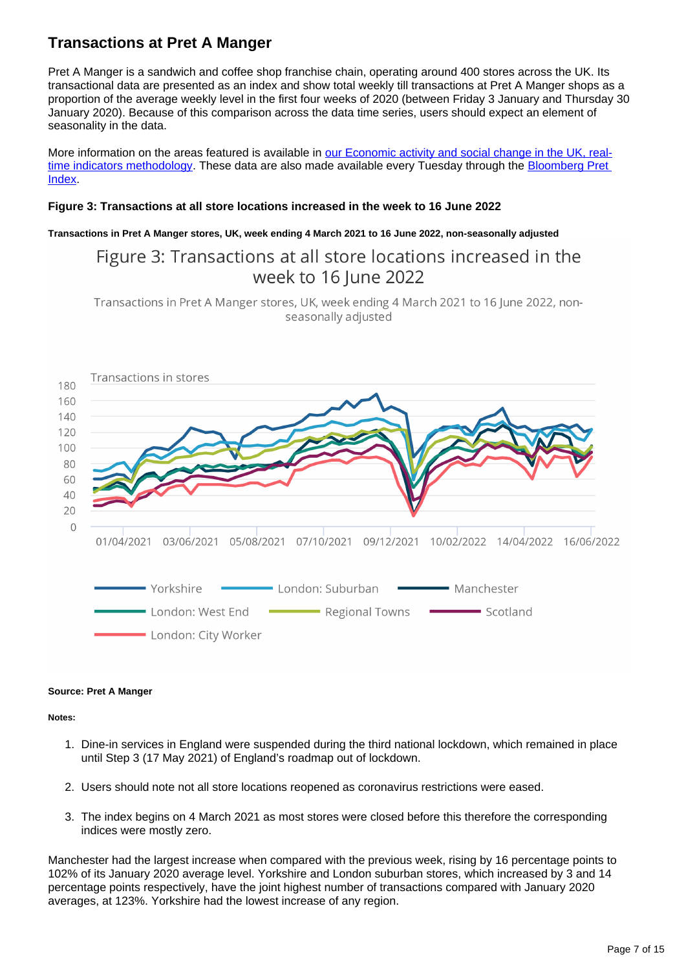### **Transactions at Pret A Manger**

Pret A Manger is a sandwich and coffee shop franchise chain, operating around 400 stores across the UK. Its transactional data are presented as an index and show total weekly till transactions at Pret A Manger shops as a proportion of the average weekly level in the first four weeks of 2020 (between Friday 3 January and Thursday 30 January 2020). Because of this comparison across the data time series, users should expect an element of seasonality in the data.

More information on the areas featured is available in [our Economic activity and social change in the UK, real](https://www.ons.gov.uk/economy/economicoutputandproductivity/output/methodologies/coronavirusandthelatestindicatorsfortheukeconomyandsocietymethodology)[time indicators methodology](https://www.ons.gov.uk/economy/economicoutputandproductivity/output/methodologies/coronavirusandthelatestindicatorsfortheukeconomyandsocietymethodology). These data are also made available every Tuesday through the Bloomberg Pret [Index](https://www.bloomberg.com/graphics/pret-index/).

#### **Figure 3: Transactions at all store locations increased in the week to 16 June 2022**

#### **Transactions in Pret A Manger stores, UK, week ending 4 March 2021 to 16 June 2022, non-seasonally adjusted**

## Figure 3: Transactions at all store locations increased in the week to 16 June 2022

Transactions in Pret A Manger stores, UK, week ending 4 March 2021 to 16 June 2022, nonseasonally adjusted



#### **Source: Pret A Manger**

#### **Notes:**

- 1. Dine-in services in England were suspended during the third national lockdown, which remained in place until Step 3 (17 May 2021) of England's roadmap out of lockdown.
- 2. Users should note not all store locations reopened as coronavirus restrictions were eased.
- 3. The index begins on 4 March 2021 as most stores were closed before this therefore the corresponding indices were mostly zero.

Manchester had the largest increase when compared with the previous week, rising by 16 percentage points to 102% of its January 2020 average level. Yorkshire and London suburban stores, which increased by 3 and 14 percentage points respectively, have the joint highest number of transactions compared with January 2020 averages, at 123%. Yorkshire had the lowest increase of any region.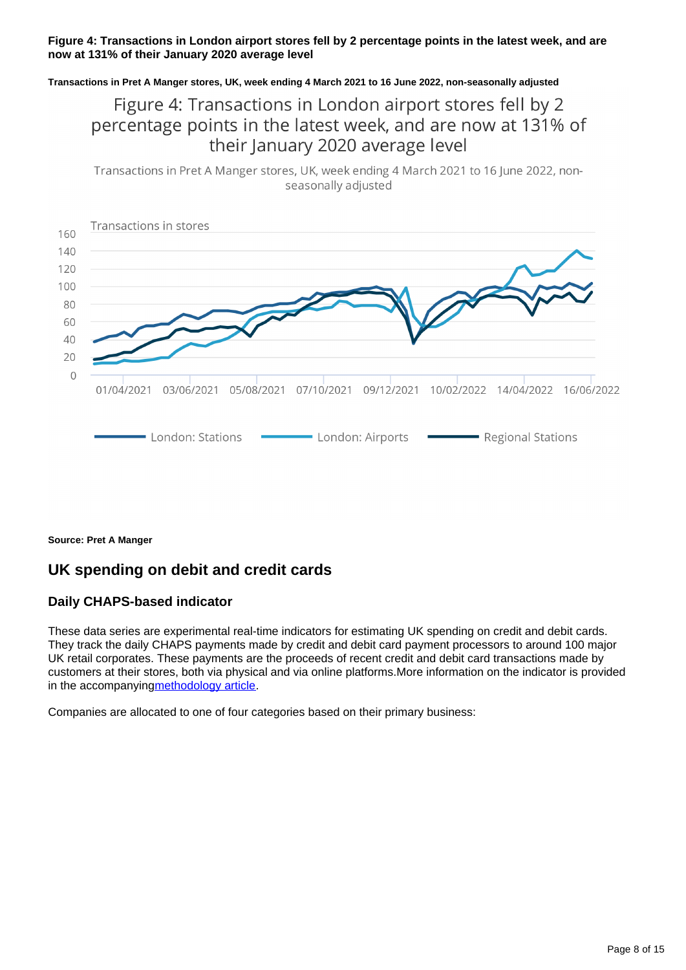#### **Figure 4: Transactions in London airport stores fell by 2 percentage points in the latest week, and are now at 131% of their January 2020 average level**

#### **Transactions in Pret A Manger stores, UK, week ending 4 March 2021 to 16 June 2022, non-seasonally adjusted**

### Figure 4: Transactions in London airport stores fell by 2 percentage points in the latest week, and are now at 131% of their January 2020 average level

Transactions in Pret A Manger stores, UK, week ending 4 March 2021 to 16 June 2022, nonseasonally adjusted



**Source: Pret A Manger**

### **UK spending on debit and credit cards**

#### **Daily CHAPS-based indicator**

These data series are experimental real-time indicators for estimating UK spending on credit and debit cards. They track the daily CHAPS payments made by credit and debit card payment processors to around 100 major UK retail corporates. These payments are the proceeds of recent credit and debit card transactions made by customers at their stores, both via physical and via online platforms.More information on the indicator is provided in the accompanyin[gmethodology article](https://www.bankofengland.co.uk/payment-and-settlement/chaps-faster-indicator).

Companies are allocated to one of four categories based on their primary business: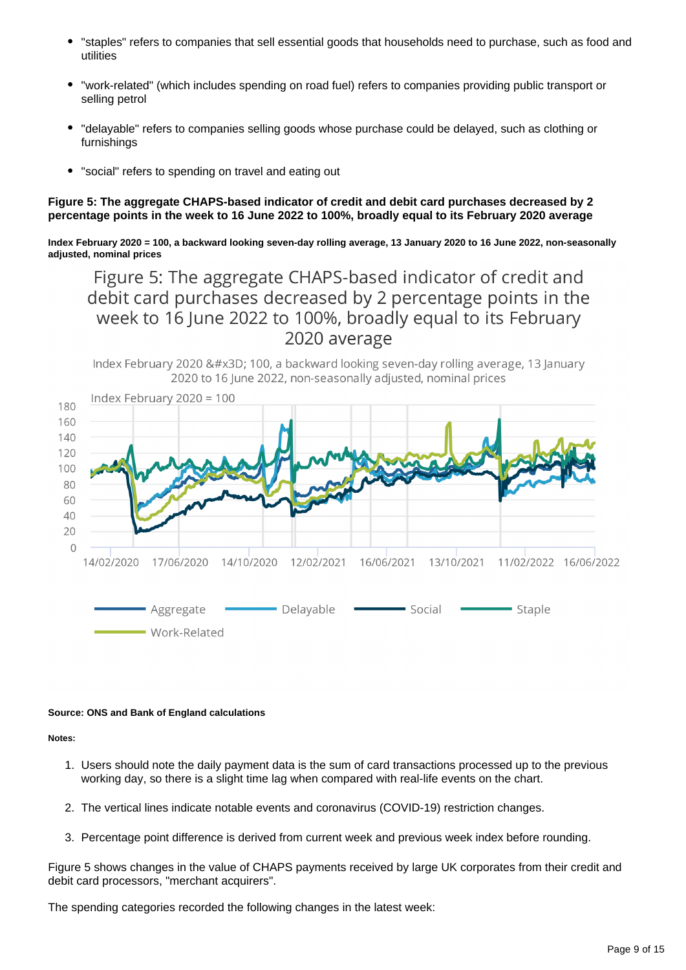- "staples" refers to companies that sell essential goods that households need to purchase, such as food and utilities
- "work-related" (which includes spending on road fuel) refers to companies providing public transport or selling petrol
- "delayable" refers to companies selling goods whose purchase could be delayed, such as clothing or furnishings
- "social" refers to spending on travel and eating out

#### **Figure 5: The aggregate CHAPS-based indicator of credit and debit card purchases decreased by 2 percentage points in the week to 16 June 2022 to 100%, broadly equal to its February 2020 average**

**Index February 2020 = 100, a backward looking seven-day rolling average, 13 January 2020 to 16 June 2022, non-seasonally adjusted, nominal prices**

Figure 5: The aggregate CHAPS-based indicator of credit and debit card purchases decreased by 2 percentage points in the week to 16 June 2022 to 100%, broadly equal to its February 2020 average

Index February 2020 = 100, a backward looking seven-day rolling average, 13 January 2020 to 16 June 2022, non-seasonally adjusted, nominal prices



#### **Source: ONS and Bank of England calculations**

**Notes:**

- 1. Users should note the daily payment data is the sum of card transactions processed up to the previous working day, so there is a slight time lag when compared with real-life events on the chart.
- 2. The vertical lines indicate notable events and coronavirus (COVID-19) restriction changes.
- 3. Percentage point difference is derived from current week and previous week index before rounding.

Figure 5 shows changes in the value of CHAPS payments received by large UK corporates from their credit and debit card processors, "merchant acquirers".

The spending categories recorded the following changes in the latest week: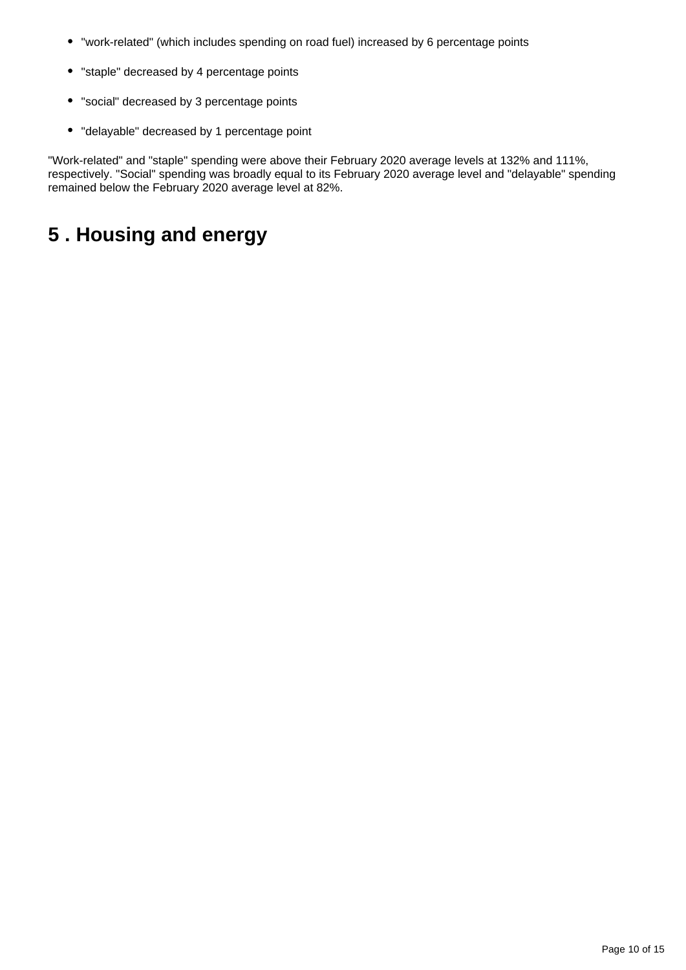- "work-related" (which includes spending on road fuel) increased by 6 percentage points
- "staple" decreased by 4 percentage points
- "social" decreased by 3 percentage points
- "delayable" decreased by 1 percentage point

"Work-related" and "staple" spending were above their February 2020 average levels at 132% and 111%, respectively. "Social" spending was broadly equal to its February 2020 average level and "delayable" spending remained below the February 2020 average level at 82%.

## <span id="page-9-0"></span>**5 . Housing and energy**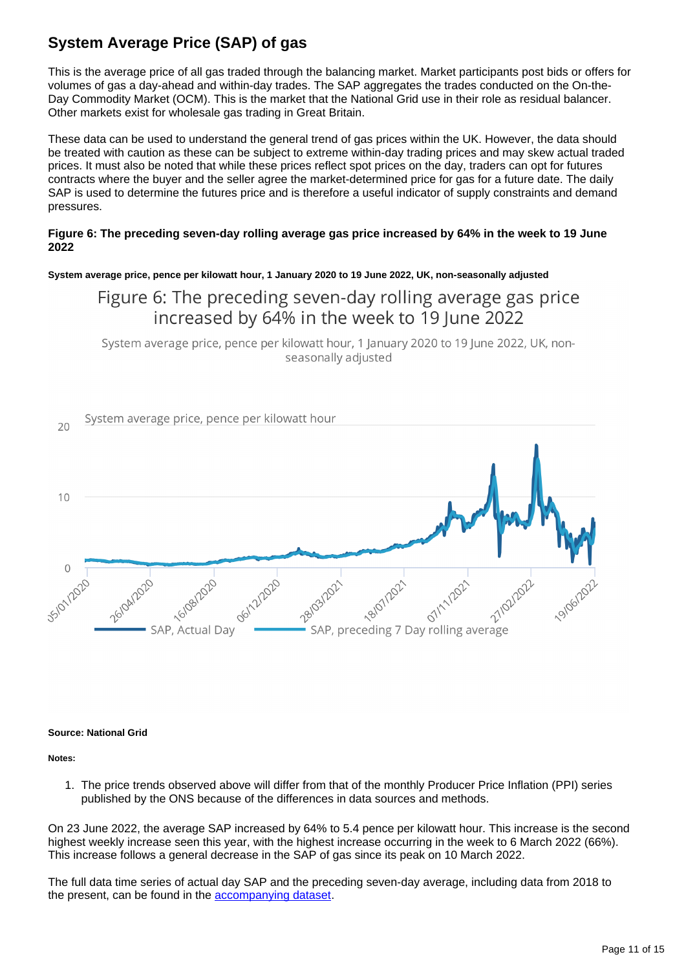### **System Average Price (SAP) of gas**

This is the average price of all gas traded through the balancing market. Market participants post bids or offers for volumes of gas a day-ahead and within-day trades. The SAP aggregates the trades conducted on the On-the-Day Commodity Market (OCM). This is the market that the National Grid use in their role as residual balancer. Other markets exist for wholesale gas trading in Great Britain.

These data can be used to understand the general trend of gas prices within the UK. However, the data should be treated with caution as these can be subject to extreme within-day trading prices and may skew actual traded prices. It must also be noted that while these prices reflect spot prices on the day, traders can opt for futures contracts where the buyer and the seller agree the market-determined price for gas for a future date. The daily SAP is used to determine the futures price and is therefore a useful indicator of supply constraints and demand pressures.

#### **Figure 6: The preceding seven-day rolling average gas price increased by 64% in the week to 19 June 2022**

#### **System average price, pence per kilowatt hour, 1 January 2020 to 19 June 2022, UK, non-seasonally adjusted**

### Figure 6: The preceding seven-day rolling average gas price increased by 64% in the week to 19 June 2022

System average price, pence per kilowatt hour, 1 January 2020 to 19 June 2022, UK, nonseasonally adjusted



#### **Source: National Grid**

**Notes:**

1. The price trends observed above will differ from that of the monthly Producer Price Inflation (PPI) series published by the ONS because of the differences in data sources and methods.

On 23 June 2022, the average SAP increased by 64% to 5.4 pence per kilowatt hour. This increase is the second highest weekly increase seen this year, with the highest increase occurring in the week to 6 March 2022 (66%). This increase follows a general decrease in the SAP of gas since its peak on 10 March 2022.

The full data time series of actual day SAP and the preceding seven-day average, including data from 2018 to the present, can be found in the [accompanying dataset.](https://www.ons.gov.uk/economy/economicoutputandproductivity/output/datasets/systemaveragepricesapofgas)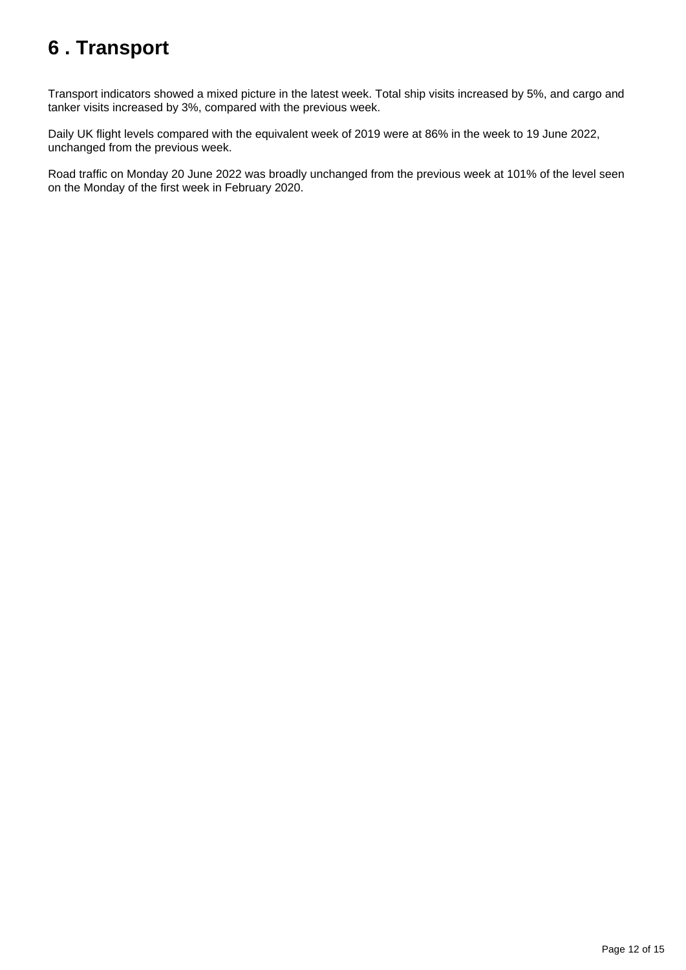## <span id="page-11-0"></span>**6 . Transport**

Transport indicators showed a mixed picture in the latest week. Total ship visits increased by 5%, and cargo and tanker visits increased by 3%, compared with the previous week.

Daily UK flight levels compared with the equivalent week of 2019 were at 86% in the week to 19 June 2022, unchanged from the previous week.

Road traffic on Monday 20 June 2022 was broadly unchanged from the previous week at 101% of the level seen on the Monday of the first week in February 2020.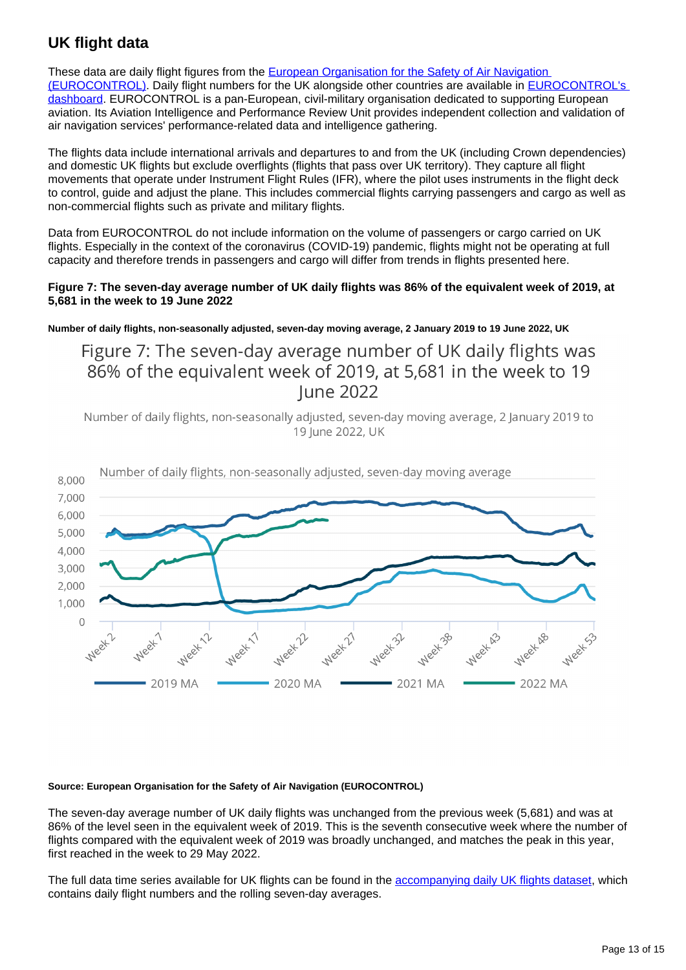### **UK flight data**

These data are daily flight figures from the European Organisation for the Safety of Air Navigation [\(EUROCONTROL\).](https://www.eurocontrol.int/) Daily flight numbers for the UK alongside other countries are available in [EUROCONTROL's](https://www.eurocontrol.int/Economics/DailyTrafficVariation-States.html?ectl-public)  [dashboard.](https://www.eurocontrol.int/Economics/DailyTrafficVariation-States.html?ectl-public) EUROCONTROL is a pan-European, civil-military organisation dedicated to supporting European aviation. Its Aviation Intelligence and Performance Review Unit provides independent collection and validation of air navigation services' performance-related data and intelligence gathering.

The flights data include international arrivals and departures to and from the UK (including Crown dependencies) and domestic UK flights but exclude overflights (flights that pass over UK territory). They capture all flight movements that operate under Instrument Flight Rules (IFR), where the pilot uses instruments in the flight deck to control, guide and adjust the plane. This includes commercial flights carrying passengers and cargo as well as non-commercial flights such as private and military flights.

Data from EUROCONTROL do not include information on the volume of passengers or cargo carried on UK flights. Especially in the context of the coronavirus (COVID-19) pandemic, flights might not be operating at full capacity and therefore trends in passengers and cargo will differ from trends in flights presented here.

#### **Figure 7: The seven-day average number of UK daily flights was 86% of the equivalent week of 2019, at 5,681 in the week to 19 June 2022**

**Number of daily flights, non-seasonally adjusted, seven-day moving average, 2 January 2019 to 19 June 2022, UK**

Figure 7: The seven-day average number of UK daily flights was 86% of the equivalent week of 2019, at 5,681 in the week to 19 **lune 2022** 

Number of daily flights, non-seasonally adjusted, seven-day moving average, 2 January 2019 to 19 June 2022, UK



#### **Source: European Organisation for the Safety of Air Navigation (EUROCONTROL)**

The seven-day average number of UK daily flights was unchanged from the previous week (5,681) and was at 86% of the level seen in the equivalent week of 2019. This is the seventh consecutive week where the number of flights compared with the equivalent week of 2019 was broadly unchanged, and matches the peak in this year, first reached in the week to 29 May 2022.

The full data time series available for UK flights can be found in the [accompanying daily UK flights dataset,](https://www.ons.gov.uk/economy/economicoutputandproductivity/output/datasets/dailyukflights) which contains daily flight numbers and the rolling seven-day averages.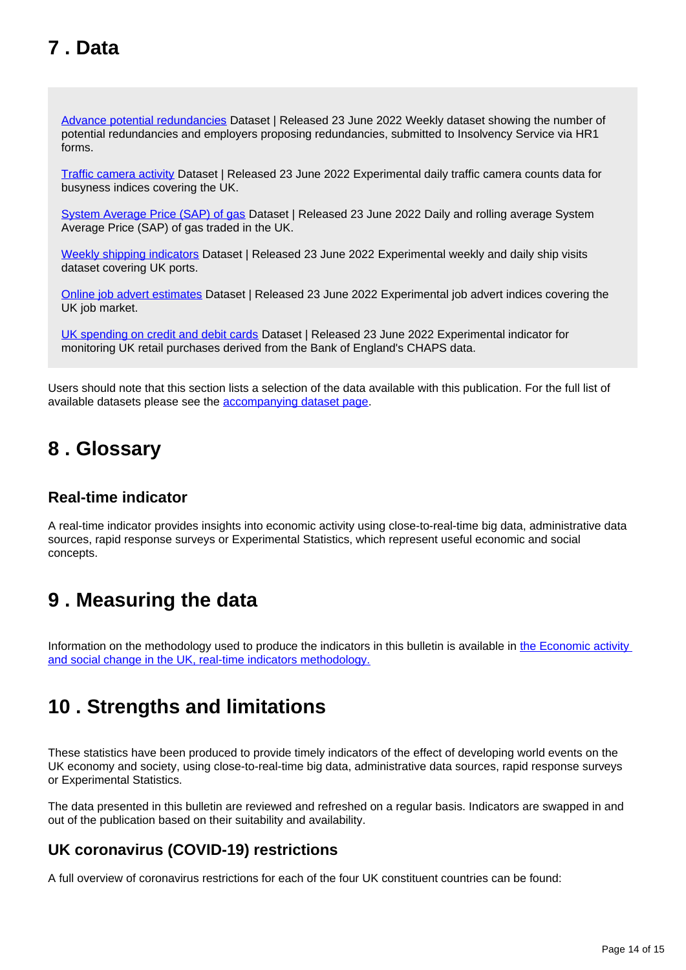## <span id="page-13-0"></span>**7 . Data**

[Advance potential redundancies](https://www.ons.gov.uk/economy/economicoutputandproductivity/output/datasets/advancednotificationofpotentialredundancies) Dataset | Released 23 June 2022 Weekly dataset showing the number of potential redundancies and employers proposing redundancies, submitted to Insolvency Service via HR1 forms.

[Traffic camera activity](https://www.ons.gov.uk/economy/economicoutputandproductivity/output/datasets/trafficcameraactivity) Dataset | Released 23 June 2022 Experimental daily traffic camera counts data for busyness indices covering the UK.

[System Average Price \(SAP\) of gas](https://www.ons.gov.uk/economy/economicoutputandproductivity/output/datasets/systemaveragepricesapofgas) Dataset | Released 23 June 2022 Daily and rolling average System Average Price (SAP) of gas traded in the UK.

[Weekly shipping indicators](https://www.ons.gov.uk/economy/economicoutputandproductivity/output/datasets/weeklyshippingindicators) Dataset | Released 23 June 2022 Experimental weekly and daily ship visits dataset covering UK ports.

[Online job advert estimates](https://www.ons.gov.uk/economy/economicoutputandproductivity/output/datasets/onlinejobadvertestimates) Dataset | Released 23 June 2022 Experimental job advert indices covering the UK job market.

[UK spending on credit and debit cards](https://www.ons.gov.uk/economy/economicoutputandproductivity/output/datasets/ukspendingoncreditanddebitcards) Dataset | Released 23 June 2022 Experimental indicator for monitoring UK retail purchases derived from the Bank of England's CHAPS data.

Users should note that this section lists a selection of the data available with this publication. For the full list of available datasets please see the [accompanying dataset page.](https://www.ons.gov.uk/economy/economicoutputandproductivity/output/bulletins/economicactivityandsocialchangeintheukrealtimeindicators/latest/relateddata)

## <span id="page-13-1"></span>**8 . Glossary**

### **Real-time indicator**

A real-time indicator provides insights into economic activity using close-to-real-time big data, administrative data sources, rapid response surveys or Experimental Statistics, which represent useful economic and social concepts.

## <span id="page-13-2"></span>**9 . Measuring the data**

Information on the methodology used to produce the indicators in this bulletin is available in the Economic activity [and social change in the UK, real-time indicators methodology.](https://www.ons.gov.uk/economy/economicoutputandproductivity/output/methodologies/coronavirusandthelatestindicatorsfortheukeconomyandsocietymethodology)

## <span id="page-13-3"></span>**10 . Strengths and limitations**

These statistics have been produced to provide timely indicators of the effect of developing world events on the UK economy and society, using close-to-real-time big data, administrative data sources, rapid response surveys or Experimental Statistics.

The data presented in this bulletin are reviewed and refreshed on a regular basis. Indicators are swapped in and out of the publication based on their suitability and availability.

### **UK coronavirus (COVID-19) restrictions**

A full overview of coronavirus restrictions for each of the four UK constituent countries can be found: